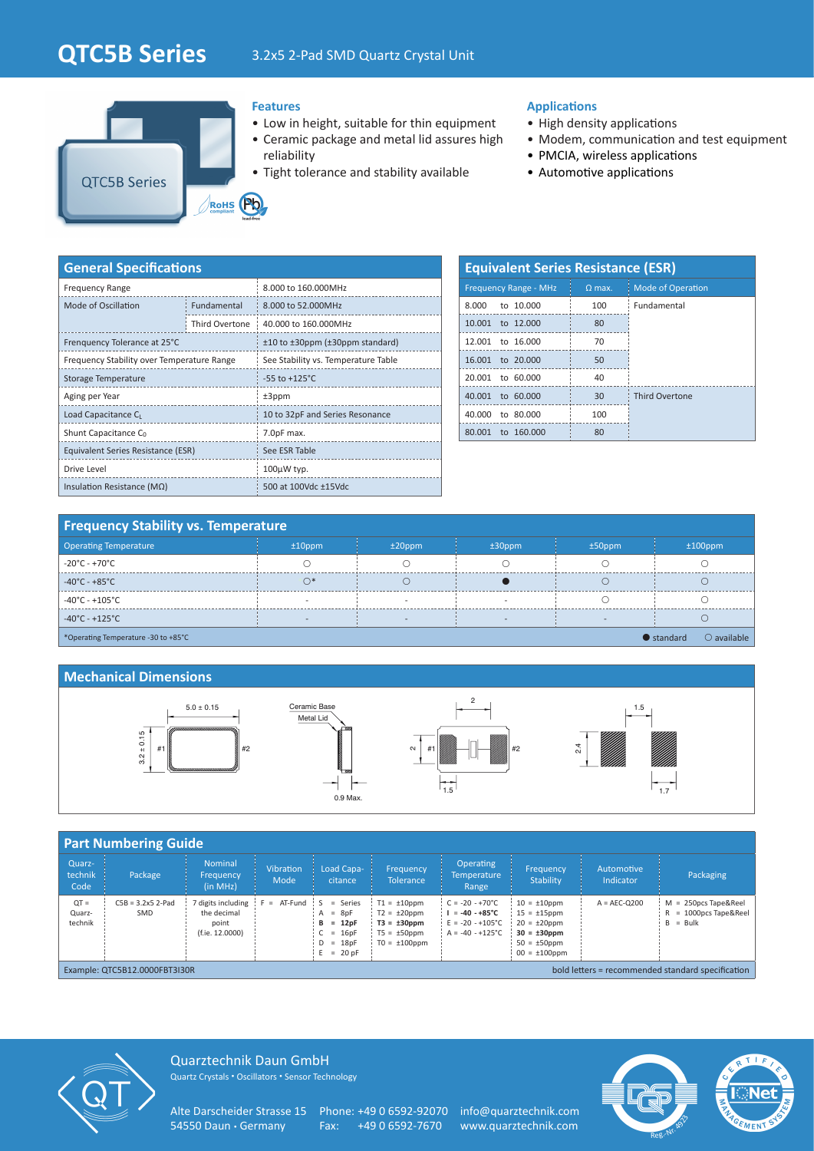# **QTC5B Series** 3.2x5 2-Pad SMD Quartz Crystal Unit



#### **Features**

- Low in height, suitable for thin equipment
- Ceramic package and metal lid assures high reliability
- Tight tolerance and stability available

### **Applications**

- High density applications
- Modem, communication and test equipment
- PMCIA, wireless applications
- Automotive applications

| <b>General Specifications</b>              |                           |                                     |  |  |  |  |  |
|--------------------------------------------|---------------------------|-------------------------------------|--|--|--|--|--|
| <b>Frequency Range</b>                     |                           | 8.000 to 160.000MHz                 |  |  |  |  |  |
| Mode of Oscillation                        | Fundamental               | 8.000 to 52.000MHz                  |  |  |  |  |  |
|                                            | Third Overtone            | 40.000 to 160.000MHz                |  |  |  |  |  |
| Frenquency Tolerance at 25°C               |                           | ±10 to ±30ppm (±30ppm standard)     |  |  |  |  |  |
| Frequency Stability over Temperature Range |                           | See Stability vs. Temperature Table |  |  |  |  |  |
| Storage Temperature                        | $-55$ to $+125^{\circ}$ C |                                     |  |  |  |  |  |
| Aging per Year                             |                           | $±3$ ppm                            |  |  |  |  |  |
| Load Capacitance C <sub>1</sub>            |                           | 10 to 32pF and Series Resonance     |  |  |  |  |  |
| Shunt Capacitance C <sub>0</sub>           |                           | 7.0pF max.                          |  |  |  |  |  |
| Equivalent Series Resistance (ESR)         |                           | See ESR Table                       |  |  |  |  |  |
| Drive Level                                |                           | $100\mu$ W typ.                     |  |  |  |  |  |
| Insulation Resistance ( $M\Omega$ )        |                           | 500 at 100Vdc ±15Vdc                |  |  |  |  |  |

| <b>Equivalent Series Resistance (ESR)</b> |                 |                          |  |  |  |  |  |  |  |  |  |
|-------------------------------------------|-----------------|--------------------------|--|--|--|--|--|--|--|--|--|
| <b>Frequency Range - MHz</b>              | $Q$ max.        | <b>Mode of Operation</b> |  |  |  |  |  |  |  |  |  |
| 8.000 to 10.000                           | 100             | Fundamental              |  |  |  |  |  |  |  |  |  |
| 10.001 to 12.000                          | 80              |                          |  |  |  |  |  |  |  |  |  |
| 12,001 to 16,000                          | 70              |                          |  |  |  |  |  |  |  |  |  |
| 16.001 to 20.000                          | 50              |                          |  |  |  |  |  |  |  |  |  |
| 20,001 to 60,000                          | 40              |                          |  |  |  |  |  |  |  |  |  |
| 40,001 to 60,000                          | 30 <sup>2</sup> | <b>Third Overtone</b>    |  |  |  |  |  |  |  |  |  |
| 40,000 to 80,000                          | 100             |                          |  |  |  |  |  |  |  |  |  |
| to 160,000<br>80.001                      | 80              |                          |  |  |  |  |  |  |  |  |  |

# **Frequency Stability vs. Temperature**

| <b>Operating Temperature</b>        | $±10$ ppm | $±20$ ppm | $±30$ ppm | $±50$ ppm | $±100$ ppm                                 |  |  |  |  |
|-------------------------------------|-----------|-----------|-----------|-----------|--------------------------------------------|--|--|--|--|
| $-20^{\circ}$ C - +70 $^{\circ}$ C  |           |           |           |           |                                            |  |  |  |  |
| $-40^{\circ}$ C - +85 $^{\circ}$ C  |           |           |           |           |                                            |  |  |  |  |
| $-40^{\circ}$ C - +105 $^{\circ}$ C |           |           |           |           |                                            |  |  |  |  |
| $-40^{\circ}$ C - +125 $^{\circ}$ C |           |           |           |           |                                            |  |  |  |  |
| *Operating Temperature -30 to +85°C |           |           |           |           | $\bigcirc$ available<br>$\bullet$ standard |  |  |  |  |

#### **Mechanical Dimensions**



|                                                                                    | <b>Part Numbering Guide</b>       |                                                             |                          |                                                                                    |                                                                                                     |                                                                                                        |                                                                                                                             |                         |                                                                     |  |
|------------------------------------------------------------------------------------|-----------------------------------|-------------------------------------------------------------|--------------------------|------------------------------------------------------------------------------------|-----------------------------------------------------------------------------------------------------|--------------------------------------------------------------------------------------------------------|-----------------------------------------------------------------------------------------------------------------------------|-------------------------|---------------------------------------------------------------------|--|
| Quarz-<br>technik<br>Code                                                          | Package                           | <b>Nominal</b><br>Frequency<br>(in MHz)                     | <b>Vibration</b><br>Mode | Load Capa-<br>citance                                                              | Frequency,<br><b>Tolerance</b>                                                                      | <b>Operating</b><br><b>Temperature</b><br>Range                                                        | Frequency<br>Stability                                                                                                      | Automotive<br>Indicator | Packaging                                                           |  |
| $QT =$<br>Quarz-<br>technik                                                        | $C5B = 3.2x5$ 2-Pad<br><b>SMD</b> | digits including<br>the decimal<br>point<br>(f.ie. 12.0000) | $= AT-Fund : S$          | $=$ Series<br>$= 8pF$<br>A<br>$= 12pF$<br>в<br>$= 16pF$<br>$D = 18pF$<br>$= 20$ pF | $T1 = \pm 10$ ppm<br>$T2 = \pm 20$ ppm<br>$T3 = \pm 30$ ppm<br>$T5 = \pm 50$ ppm<br>$TO = ±100$ ppm | $C = -20 - +70^{\circ}C$<br>$= -40 - +85^{\circ}C$<br>$E = -20 - +105^{\circ}C$<br>$A = -40 - +125$ °C | $10 = \pm 10$ ppm<br>$15 = \pm 15$ ppm<br>$20 = \pm 20$ ppm<br>$30 = \pm 30$ ppm<br>$50 = \pm 50$ ppm<br>$00 = \pm 100$ ppm | $A = AEC-O200$          | $M = 250DCS$ Tape&Reel<br>= 1000pcs Tape&Reel<br>R<br>$=$ Bulk<br>В |  |
| bold letters = recommended standard specification<br>Example: QTC5B12.0000FBT3I30R |                                   |                                                             |                          |                                                                                    |                                                                                                     |                                                                                                        |                                                                                                                             |                         |                                                                     |  |



Quarztechnik Daun GmbH Quartz Crystals • Oscillators • Sensor Technology

Alte Darscheider Strasse 15 Phone: +49 0 6592-92070 info@quarztechnik.com<br>54550 Daun • Germany Fax: +49 0 6592-7670 www.quarztechnik.com

Fax: +49 0 6592-7670 www.quarztechnik.com